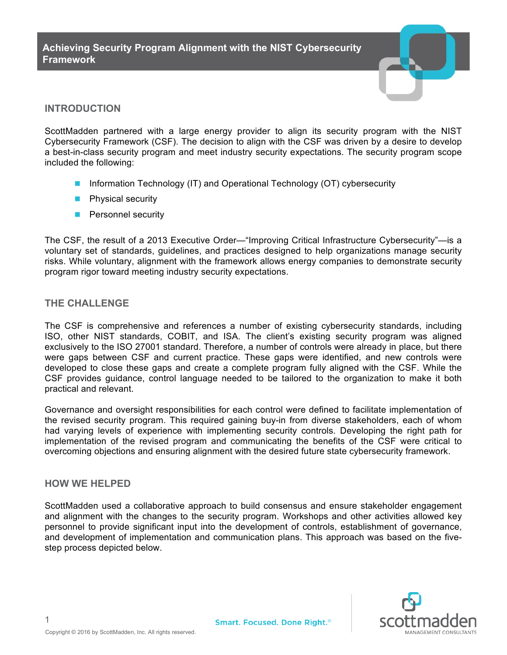

## **INTRODUCTION**

ScottMadden partnered with a large energy provider to align its security program with the NIST Cybersecurity Framework (CSF). The decision to align with the CSF was driven by a desire to develop a best-in-class security program and meet industry security expectations. The security program scope included the following:

- **n** Information Technology (IT) and Operational Technology (OT) cybersecurity
- $\blacksquare$  Physical security
- **n** Personnel security

The CSF, the result of a 2013 Executive Order—"Improving Critical Infrastructure Cybersecurity"—is a voluntary set of standards, guidelines, and practices designed to help organizations manage security risks. While voluntary, alignment with the framework allows energy companies to demonstrate security program rigor toward meeting industry security expectations.

## **THE CHALLENGE**

The CSF is comprehensive and references a number of existing cybersecurity standards, including ISO, other NIST standards, COBIT, and ISA. The client's existing security program was aligned exclusively to the ISO 27001 standard. Therefore, a number of controls were already in place, but there were gaps between CSF and current practice. These gaps were identified, and new controls were developed to close these gaps and create a complete program fully aligned with the CSF. While the CSF provides guidance, control language needed to be tailored to the organization to make it both practical and relevant.

Governance and oversight responsibilities for each control were defined to facilitate implementation of the revised security program. This required gaining buy-in from diverse stakeholders, each of whom had varying levels of experience with implementing security controls. Developing the right path for implementation of the revised program and communicating the benefits of the CSF were critical to overcoming objections and ensuring alignment with the desired future state cybersecurity framework.

## **HOW WE HELPED**

ScottMadden used a collaborative approach to build consensus and ensure stakeholder engagement and alignment with the changes to the security program. Workshops and other activities allowed key personnel to provide significant input into the development of controls, establishment of governance, and development of implementation and communication plans. This approach was based on the fivestep process depicted below.